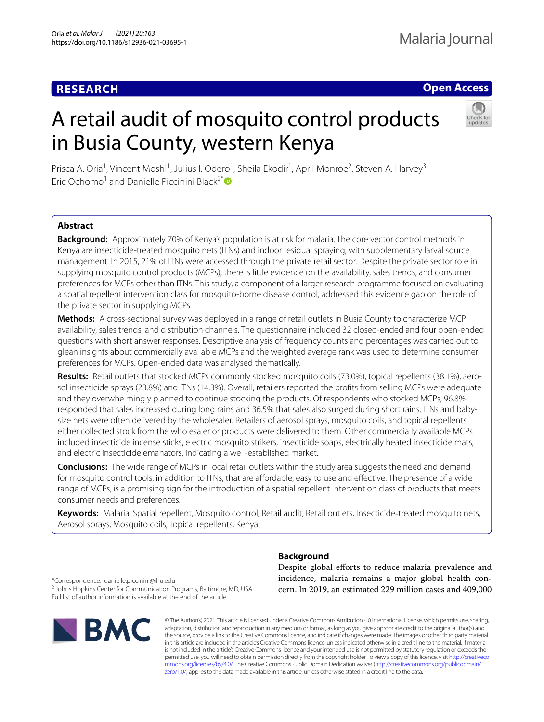# **RESEARCH**

## **Open Access**

# A retail audit of mosquito control products in Busia County, western Kenya



Prisca A. Oria<sup>1</sup>, Vincent Moshi<sup>1</sup>, Julius I. Odero<sup>1</sup>, Sheila Ekodir<sup>1</sup>, April Monroe<sup>2</sup>, Steven A. Harvey<sup>3</sup>, **Eric Ochomo**<sup>1</sup> and Danielle Piccinini Black<sup>2[\\*](http://orcid.org/0000-0002-8188-1676)</sup>

## **Abstract**

**Background:** Approximately 70% of Kenya's population is at risk for malaria. The core vector control methods in Kenya are insecticide-treated mosquito nets (ITNs) and indoor residual spraying, with supplementary larval source management. In 2015, 21% of ITNs were accessed through the private retail sector. Despite the private sector role in supplying mosquito control products (MCPs), there is little evidence on the availability, sales trends, and consumer preferences for MCPs other than ITNs. This study, a component of a larger research programme focused on evaluating a spatial repellent intervention class for mosquito-borne disease control, addressed this evidence gap on the role of the private sector in supplying MCPs.

**Methods:** A cross-sectional survey was deployed in a range of retail outlets in Busia County to characterize MCP availability, sales trends, and distribution channels. The questionnaire included 32 closed-ended and four open-ended questions with short answer responses. Descriptive analysis of frequency counts and percentages was carried out to glean insights about commercially available MCPs and the weighted average rank was used to determine consumer preferences for MCPs. Open-ended data was analysed thematically.

**Results:** Retail outlets that stocked MCPs commonly stocked mosquito coils (73.0%), topical repellents (38.1%), aerosol insecticide sprays (23.8%) and ITNs (14.3%). Overall, retailers reported the profts from selling MCPs were adequate and they overwhelmingly planned to continue stocking the products. Of respondents who stocked MCPs, 96.8% responded that sales increased during long rains and 36.5% that sales also surged during short rains. ITNs and babysize nets were often delivered by the wholesaler. Retailers of aerosol sprays, mosquito coils, and topical repellents either collected stock from the wholesaler or products were delivered to them. Other commercially available MCPs included insecticide incense sticks, electric mosquito strikers, insecticide soaps, electrically heated insecticide mats, and electric insecticide emanators, indicating a well-established market.

**Conclusions:** The wide range of MCPs in local retail outlets within the study area suggests the need and demand for mosquito control tools, in addition to ITNs, that are affordable, easy to use and effective. The presence of a wide range of MCPs, is a promising sign for the introduction of a spatial repellent intervention class of products that meets consumer needs and preferences.

**Keywords:** Malaria, Spatial repellent, Mosquito control, Retail audit, Retail outlets, Insecticide‐treated mosquito nets, Aerosol sprays, Mosquito coils, Topical repellents, Kenya

**Background**

\*Correspondence: danielle.piccinini@jhu.edu

<sup>2</sup> Johns Hopkins Center for Communication Programs, Baltimore, MD, USA Full list of author information is available at the end of the article



Despite global efforts to reduce malaria prevalence and incidence, malaria remains a major global health concern. In 2019, an estimated 229 million cases and 409,000

© The Author(s) 2021. This article is licensed under a Creative Commons Attribution 4.0 International License, which permits use, sharing, adaptation, distribution and reproduction in any medium or format, as long as you give appropriate credit to the original author(s) and the source, provide a link to the Creative Commons licence, and indicate if changes were made. The images or other third party material in this article are included in the article's Creative Commons licence, unless indicated otherwise in a credit line to the material. If material is not included in the article's Creative Commons licence and your intended use is not permitted by statutory regulation or exceeds the permitted use, you will need to obtain permission directly from the copyright holder. To view a copy of this licence, visit [http://creativeco](http://creativecommons.org/licenses/by/4.0/) [mmons.org/licenses/by/4.0/.](http://creativecommons.org/licenses/by/4.0/) The Creative Commons Public Domain Dedication waiver ([http://creativecommons.org/publicdomain/](http://creativecommons.org/publicdomain/zero/1.0/) [zero/1.0/\)](http://creativecommons.org/publicdomain/zero/1.0/) applies to the data made available in this article, unless otherwise stated in a credit line to the data.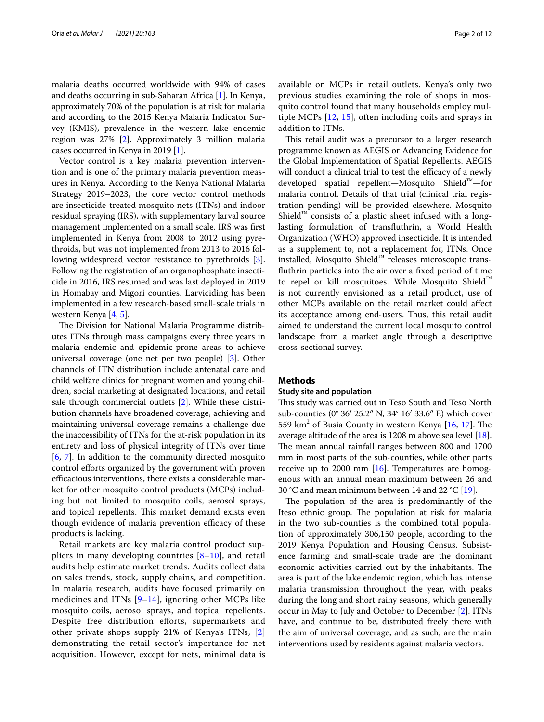malaria deaths occurred worldwide with 94% of cases and deaths occurring in sub-Saharan Africa [\[1](#page-10-0)]. In Kenya, approximately 70% of the population is at risk for malaria and according to the 2015 Kenya Malaria Indicator Survey (KMIS), prevalence in the western lake endemic region was 27% [[2\]](#page-10-1). Approximately 3 million malaria cases occurred in Kenya in 2019 [\[1\]](#page-10-0).

Vector control is a key malaria prevention intervention and is one of the primary malaria prevention measures in Kenya. According to the Kenya National Malaria Strategy 2019–2023, the core vector control methods are insecticide-treated mosquito nets (ITNs) and indoor residual spraying (IRS), with supplementary larval source management implemented on a small scale. IRS was frst implemented in Kenya from 2008 to 2012 using pyrethroids, but was not implemented from 2013 to 2016 following widespread vector resistance to pyrethroids [\[3](#page-10-2)]. Following the registration of an organophosphate insecticide in 2016, IRS resumed and was last deployed in 2019 in Homabay and Migori counties. Larviciding has been implemented in a few research-based small-scale trials in western Kenya [\[4,](#page-10-3) [5](#page-10-4)].

The Division for National Malaria Programme distributes ITNs through mass campaigns every three years in malaria endemic and epidemic-prone areas to achieve universal coverage (one net per two people) [[3\]](#page-10-2). Other channels of ITN distribution include antenatal care and child welfare clinics for pregnant women and young children, social marketing at designated locations, and retail sale through commercial outlets [\[2](#page-10-1)]. While these distribution channels have broadened coverage, achieving and maintaining universal coverage remains a challenge due the inaccessibility of ITNs for the at-risk population in its entirety and loss of physical integrity of ITNs over time [[6,](#page-10-5) [7\]](#page-10-6). In addition to the community directed mosquito control efforts organized by the government with proven efficacious interventions, there exists a considerable market for other mosquito control products (MCPs) including but not limited to mosquito coils, aerosol sprays, and topical repellents. This market demand exists even though evidence of malaria prevention efficacy of these products is lacking.

Retail markets are key malaria control product suppliers in many developing countries  $[8-10]$  $[8-10]$ , and retail audits help estimate market trends. Audits collect data on sales trends, stock, supply chains, and competition. In malaria research, audits have focused primarily on medicines and ITNs [[9–](#page-10-9)[14\]](#page-10-10), ignoring other MCPs like mosquito coils, aerosol sprays, and topical repellents. Despite free distribution efforts, supermarkets and other private shops supply 21% of Kenya's ITNs, [\[2](#page-10-1)] demonstrating the retail sector's importance for net acquisition. However, except for nets, minimal data is available on MCPs in retail outlets. Kenya's only two previous studies examining the role of shops in mosquito control found that many households employ multiple MCPs [[12,](#page-10-11) [15](#page-10-12)], often including coils and sprays in addition to ITNs.

This retail audit was a precursor to a larger research programme known as AEGIS or Advancing Evidence for the Global Implementation of Spatial Repellents. AEGIS will conduct a clinical trial to test the efficacy of a newly developed spatial repellent—Mosquito Shield™—for malaria control. Details of that trial (clinical trial registration pending) will be provided elsewhere. Mosquito Shield™ consists of a plastic sheet infused with a longlasting formulation of transfuthrin, a World Health Organization (WHO) approved insecticide. It is intended as a supplement to, not a replacement for, ITNs. Once installed, Mosquito Shield™ releases microscopic transfuthrin particles into the air over a fxed period of time to repel or kill mosquitoes. While Mosquito Shield™ is not currently envisioned as a retail product, use of other MCPs available on the retail market could afect its acceptance among end-users. Thus, this retail audit aimed to understand the current local mosquito control landscape from a market angle through a descriptive cross-sectional survey.

#### **Methods**

#### **Study site and population**

This study was carried out in Teso South and Teso North sub-counties (0° 36′ 25.2″ N, 34° 16′ 33.6″ E) which cover 559  $\text{km}^2$  of Busia County in western Kenya [[16,](#page-10-13) [17\]](#page-10-14). The average altitude of the area is 1208 m above sea level [\[18](#page-10-15)]. The mean annual rainfall ranges between 800 and 1700 mm in most parts of the sub-counties, while other parts receive up to 2000 mm  $[16]$  $[16]$  $[16]$ . Temperatures are homogenous with an annual mean maximum between 26 and 30 °C and mean minimum between 14 and 22 °C [[19\]](#page-10-16).

The population of the area is predominantly of the Iteso ethnic group. The population at risk for malaria in the two sub-counties is the combined total population of approximately 306,150 people, according to the 2019 Kenya Population and Housing Census. Subsistence farming and small-scale trade are the dominant economic activities carried out by the inhabitants. The area is part of the lake endemic region, which has intense malaria transmission throughout the year, with peaks during the long and short rainy seasons, which generally occur in May to July and October to December [[2](#page-10-1)]. ITNs have, and continue to be, distributed freely there with the aim of universal coverage, and as such, are the main interventions used by residents against malaria vectors.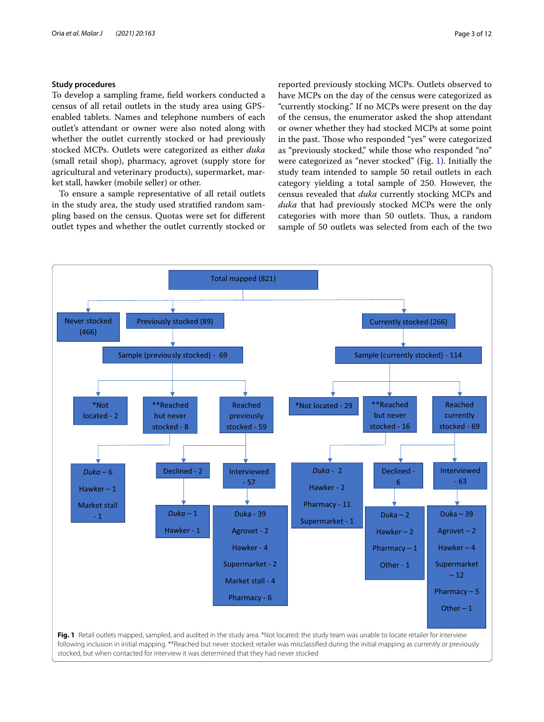## **Study procedures**

To develop a sampling frame, feld workers conducted a census of all retail outlets in the study area using GPSenabled tablets. Names and telephone numbers of each outlet's attendant or owner were also noted along with whether the outlet currently stocked or had previously stocked MCPs. Outlets were categorized as either *duka* (small retail shop), pharmacy, agrovet (supply store for agricultural and veterinary products), supermarket, market stall, hawker (mobile seller) or other.

To ensure a sample representative of all retail outlets in the study area, the study used stratifed random sampling based on the census. Quotas were set for diferent outlet types and whether the outlet currently stocked or reported previously stocking MCPs. Outlets observed to have MCPs on the day of the census were categorized as "currently stocking." If no MCPs were present on the day of the census, the enumerator asked the shop attendant or owner whether they had stocked MCPs at some point in the past. Those who responded "yes" were categorized as "previously stocked," while those who responded "no" were categorized as "never stocked" (Fig. [1\)](#page-2-0). Initially the study team intended to sample 50 retail outlets in each category yielding a total sample of 250. However, the census revealed that *duka* currently stocking MCPs and *duka* that had previously stocked MCPs were the only categories with more than 50 outlets. Thus, a random sample of 50 outlets was selected from each of the two

<span id="page-2-0"></span>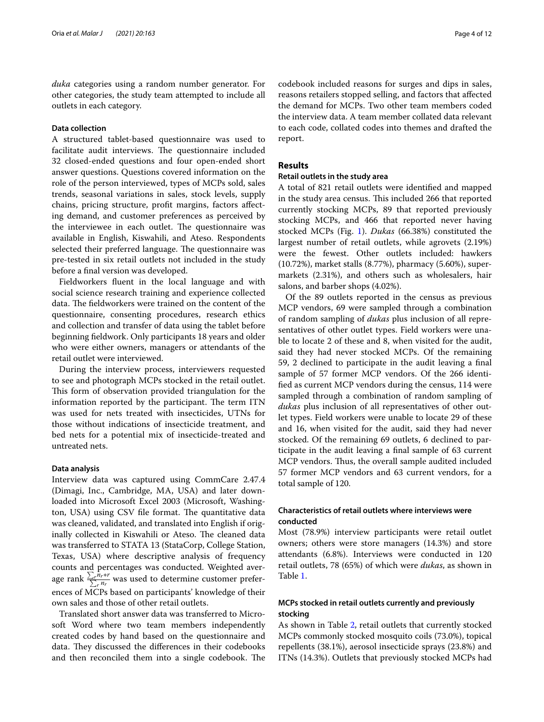*duka* categories using a random number generator. For other categories, the study team attempted to include all outlets in each category.

## **Data collection**

A structured tablet-based questionnaire was used to facilitate audit interviews. The questionnaire included 32 closed-ended questions and four open-ended short answer questions. Questions covered information on the role of the person interviewed, types of MCPs sold, sales trends, seasonal variations in sales, stock levels, supply chains, pricing structure, proft margins, factors afecting demand, and customer preferences as perceived by the interviewee in each outlet. The questionnaire was available in English, Kiswahili, and Ateso. Respondents selected their preferred language. The questionnaire was pre-tested in six retail outlets not included in the study before a fnal version was developed.

Fieldworkers fuent in the local language and with social science research training and experience collected data. The fieldworkers were trained on the content of the questionnaire, consenting procedures, research ethics and collection and transfer of data using the tablet before beginning feldwork. Only participants 18 years and older who were either owners, managers or attendants of the retail outlet were interviewed.

During the interview process, interviewers requested to see and photograph MCPs stocked in the retail outlet. This form of observation provided triangulation for the information reported by the participant. The term ITN was used for nets treated with insecticides, UTNs for those without indications of insecticide treatment, and bed nets for a potential mix of insecticide-treated and untreated nets.

#### **Data analysis**

Interview data was captured using CommCare 2.47.4 (Dimagi, Inc., Cambridge, MA, USA) and later downloaded into Microsoft Excel 2003 (Microsoft, Washington, USA) using CSV file format. The quantitative data was cleaned, validated, and translated into English if originally collected in Kiswahili or Ateso. The cleaned data was transferred to STATA 13 (StataCorp, College Station, Texas, USA) where descriptive analysis of frequency counts and percentages was conducted. Weighted average rank  $\frac{\sum_{r} n_r * r}{\sum_{r} n_r}$  was used to determine customer preferences of MCPs based on participants' knowledge of their own sales and those of other retail outlets.

Translated short answer data was transferred to Microsoft Word where two team members independently created codes by hand based on the questionnaire and data. They discussed the differences in their codebooks and then reconciled them into a single codebook. The codebook included reasons for surges and dips in sales, reasons retailers stopped selling, and factors that afected the demand for MCPs. Two other team members coded the interview data. A team member collated data relevant to each code, collated codes into themes and drafted the report.

#### **Results**

## **Retail outlets in the study area**

A total of 821 retail outlets were identifed and mapped in the study area census. This included 266 that reported currently stocking MCPs, 89 that reported previously stocking MCPs, and 466 that reported never having stocked MCPs (Fig. [1](#page-2-0)). *Dukas* (66.38%) constituted the largest number of retail outlets, while agrovets (2.19%) were the fewest. Other outlets included: hawkers (10.72%), market stalls (8.77%), pharmacy (5.60%), supermarkets (2.31%), and others such as wholesalers, hair salons, and barber shops (4.02%).

Of the 89 outlets reported in the census as previous MCP vendors, 69 were sampled through a combination of random sampling of *dukas* plus inclusion of all representatives of other outlet types. Field workers were unable to locate 2 of these and 8, when visited for the audit, said they had never stocked MCPs. Of the remaining 59, 2 declined to participate in the audit leaving a fnal sample of 57 former MCP vendors. Of the 266 identifed as current MCP vendors during the census, 114 were sampled through a combination of random sampling of *dukas* plus inclusion of all representatives of other outlet types. Field workers were unable to locate 29 of these and 16, when visited for the audit, said they had never stocked. Of the remaining 69 outlets, 6 declined to participate in the audit leaving a fnal sample of 63 current MCP vendors. Thus, the overall sample audited included 57 former MCP vendors and 63 current vendors, for a total sample of 120.

## **Characteristics of retail outlets where interviews were conducted**

Most (78.9%) interview participants were retail outlet owners; others were store managers (14.3%) and store attendants (6.8%). Interviews were conducted in 120 retail outlets, 78 (65%) of which were *dukas*, as shown in Table [1](#page-4-0).

## **MCPs stocked in retail outlets currently and previously stocking**

As shown in Table [2,](#page-4-1) retail outlets that currently stocked MCPs commonly stocked mosquito coils (73.0%), topical repellents (38.1%), aerosol insecticide sprays (23.8%) and ITNs (14.3%). Outlets that previously stocked MCPs had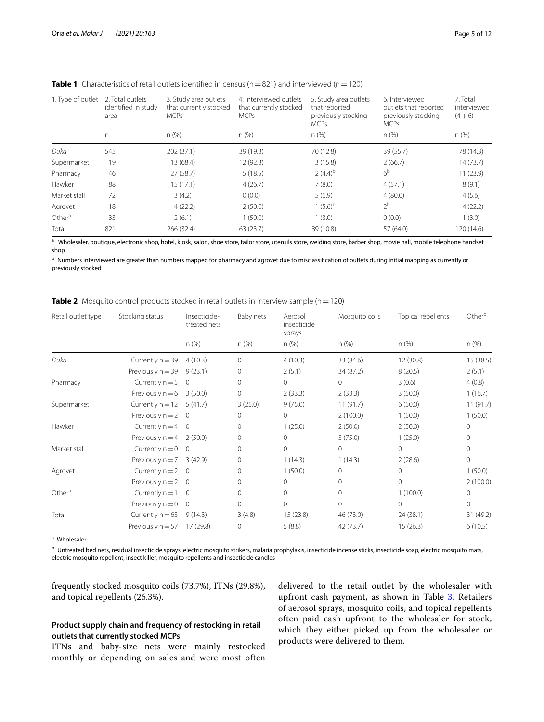| 1. Type of outlet  | 2. Total outlets<br>identified in study<br>area | 3. Study area outlets<br>that currently stocked<br><b>MCPs</b> | 4. Interviewed outlets<br>that currently stocked<br><b>MCPs</b> | 5. Study area outlets<br>that reported<br>previously stocking<br><b>MCPs</b> | 6. Interviewed<br>outlets that reported<br>previously stocking<br><b>MCPs</b> | 7. Total<br>interviewed<br>$(4+6)$ |
|--------------------|-------------------------------------------------|----------------------------------------------------------------|-----------------------------------------------------------------|------------------------------------------------------------------------------|-------------------------------------------------------------------------------|------------------------------------|
|                    | n                                               | $n$ (%)                                                        | $n$ (%)                                                         | n(%)                                                                         | n(%)                                                                          | n(%)                               |
| Duka               | 545                                             | 202(37.1)                                                      | 39 (19.3)                                                       | 70 (12.8)                                                                    | 39 (55.7)                                                                     | 78 (14.3)                          |
| Supermarket        | 19                                              | 13 (68.4)                                                      | 12 (92.3)                                                       | 3(15.8)                                                                      | 2(66.7)                                                                       | 14(73.7)                           |
| Pharmacy           | 46                                              | 27(58.7)                                                       | 5(18.5)                                                         | $2(4.4)^{b}$                                                                 | 6 <sup>b</sup>                                                                | 11(23.9)                           |
| Hawker             | 88                                              | 15(17.1)                                                       | 4(26.7)                                                         | 7(8.0)                                                                       | 4(57.1)                                                                       | 8(9.1)                             |
| Market stall       | 72                                              | 3(4.2)                                                         | 0(0.0)                                                          | 5(6.9)                                                                       | 4(80.0)                                                                       | 4(5.6)                             |
| Agrovet            | 18                                              | 4(22.2)                                                        | 2(50.0)                                                         | $1(5.6)^{b}$                                                                 | 2 <sup>b</sup>                                                                | 4(22.2)                            |
| Other <sup>a</sup> | 33                                              | 2(6.1)                                                         | 1(50.0)                                                         | 1(3.0)                                                                       | 0(0.0)                                                                        | 1(3.0)                             |
| Total              | 821                                             | 266 (32.4)                                                     | 63(23.7)                                                        | 89 (10.8)                                                                    | 57 (64.0)                                                                     | 120 (14.6)                         |

<span id="page-4-0"></span>**Table 1** Characteristics of retail outlets identified in census ( $n=821$ ) and interviewed ( $n=120$ )

a Wholesaler, boutique, electronic shop, hotel, kiosk, salon, shoe store, tailor store, utensils store, welding store, barber shop, movie hall, mobile telephone handset shop

<sup>b</sup> Numbers interviewed are greater than numbers mapped for pharmacy and agrovet due to misclassifcation of outlets during initial mapping as currently or previously stocked

<span id="page-4-1"></span>

| <b>Table 2</b> Mosquito control products stocked in retail outlets in interview sample ( $n = 120$ ) |  |
|------------------------------------------------------------------------------------------------------|--|
|------------------------------------------------------------------------------------------------------|--|

| Retail outlet type | Stocking status      | Insecticide-<br>treated nets | Baby nets | Aerosol<br>insecticide<br>sprays | Mosquito coils | Topical repellents | Otherb       |
|--------------------|----------------------|------------------------------|-----------|----------------------------------|----------------|--------------------|--------------|
|                    |                      | n (%)                        | $n$ (%)   | $n$ (%)                          | n(%)           | $n$ (%)            | n (%)        |
| Duka               | Currently $n = 39$   | 4(10.3)                      | $\Omega$  | 4(10.3)                          | 33 (84.6)      | 12 (30.8)          | 15(38.5)     |
|                    | Previously $n = 39$  | 9(23.1)                      | 0         | 2(5.1)                           | 34 (87.2)      | 8(20.5)            | 2(5.1)       |
| Pharmacy           | Currently $n = 5$    | $\mathbf{0}$                 | $\circ$   | $\circ$                          | $\Omega$       | 3(0.6)             | 4(0.8)       |
|                    | Previously $n = 6$   | 3(50.0)                      | $\circ$   | 2(33.3)                          | 2(33.3)        | 3(50.0)            | 1(16.7)      |
| Supermarket        | Currently $n = 12$   | 5(41.7)                      | 3(25.0)   | 9(75.0)                          | 11(91.7)       | 6(50.0)            | 11(91.7)     |
|                    | Previously $n = 2$ 0 |                              | 0         | $\circ$                          | 2(100.0)       | 1(50.0)            | 1(50.0)      |
| Hawker             | Currently $n = 4$    | $\mathbf{0}$                 | $\Omega$  | 1(25.0)                          | 2(50.0)        | 2(50.0)            | $\Omega$     |
|                    | Previously $n = 4$   | 2(50.0)                      | 0         | $\circ$                          | 3(75.0)        | 1(25.0)            | 0            |
| Market stall       | Currently $n = 0$    | $\mathbf{0}$                 | $\Omega$  | $\Omega$                         | $\Omega$       | $\Omega$           | $\Omega$     |
|                    | Previously $n = 7$   | 3(42.9)                      | $\Omega$  | 1(14.3)                          | 1(14.3)        | 2(28.6)            | $\mathbf{0}$ |
| Agrovet            | Currently $n = 2$    | $\overline{0}$               | 0         | 1(50.0)                          | $\Omega$       | $\Omega$           | 1(50.0)      |
|                    | Previously $n = 2$ 0 |                              | $\Omega$  | $\mathbf{0}$                     | $\Omega$       | $\Omega$           | 2(100.0)     |
| Other $a$          | Currently $n = 1$    | $\mathbf{0}$                 | $\Omega$  | $\Omega$                         | $\Omega$       | 1(100.0)           | $\Omega$     |
|                    | Previously $n = 0$   | $\mathbf{0}$                 | $\Omega$  | $\Omega$                         | $\Omega$       | $\Omega$           | $\Omega$     |
| Total              | Currently $n = 63$   | 9(14.3)                      | 3(4.8)    | 15(23.8)                         | 46 (73.0)      | 24 (38.1)          | 31 (49.2)    |
|                    | Previously $n = 57$  | 17(29.8)                     | $\Omega$  | 5(8.8)                           | 42 (73.7)      | 15(26.3)           | 6(10.5)      |

a Wholesaler

<sup>b</sup> Untreated bed nets, residual insecticide sprays, electric mosquito strikers, malaria prophylaxis, insecticide incense sticks, insecticide soap, electric mosquito mats, electric mosquito repellent, insect killer, mosquito repellents and insecticide candles

frequently stocked mosquito coils (73.7%), ITNs (29.8%), and topical repellents (26.3%).

## **Product supply chain and frequency of restocking in retail outlets that currently stocked MCPs**

ITNs and baby-size nets were mainly restocked monthly or depending on sales and were most often delivered to the retail outlet by the wholesaler with upfront cash payment, as shown in Table [3.](#page-5-0) Retailers of aerosol sprays, mosquito coils, and topical repellents often paid cash upfront to the wholesaler for stock, which they either picked up from the wholesaler or products were delivered to them.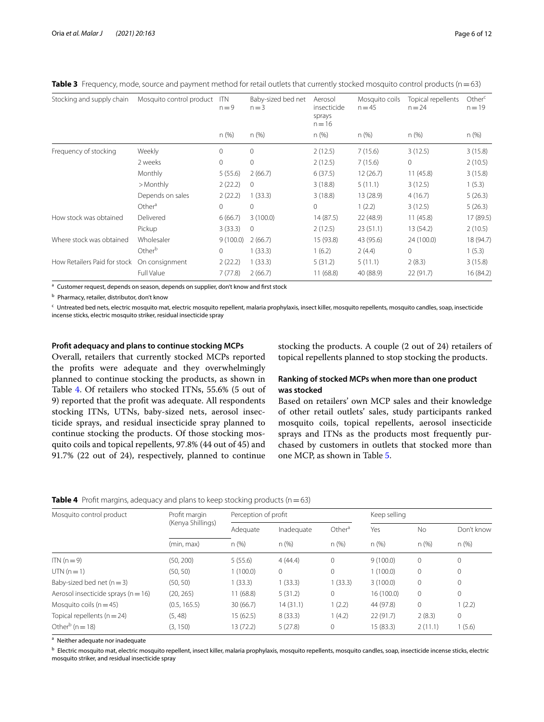| Stocking and supply chain    | Mosquito control product | <b>ITN</b><br>$n = 9$ | Baby-sized bed net<br>$n = 3$ | Aerosol<br>insecticide<br>sprays<br>$n = 16$ | Mosquito coils<br>$n = 45$ | Topical repellents<br>$n = 24$ | Other <sup>c</sup><br>$n = 19$ |
|------------------------------|--------------------------|-----------------------|-------------------------------|----------------------------------------------|----------------------------|--------------------------------|--------------------------------|
|                              |                          | n(%)                  | $n$ (%)                       | $n$ (%)                                      | n (%)                      | $n$ (%)                        | n (%)                          |
| Frequency of stocking        | Weekly                   | $\mathbf{0}$          | 0                             | 2(12.5)                                      | 7(15.6)                    | 3(12.5)                        | 3(15.8)                        |
|                              | 2 weeks                  | $\circ$               | $\mathbf{0}$                  | 2(12.5)                                      | 7(15.6)                    | $\mathbf{0}$                   | 2(10.5)                        |
|                              | Monthly                  | 5(55.6)               | 2(66.7)                       | 6(37.5)                                      | 12 (26.7)                  | 11(45.8)                       | 3(15.8)                        |
|                              | >Monthly                 | 2(22.2)               | $\mathbf 0$                   | 3(18.8)                                      | 5(11.1)                    | 3(12.5)                        | 1(5.3)                         |
|                              | Depends on sales         | 2(22.2)               | 1(33.3)                       | 3(18.8)                                      | 13 (28.9)                  | 4(16.7)                        | 5(26.3)                        |
|                              | Other <sup>a</sup>       | $\circ$               | 0                             | $\mathbf{0}$                                 | 1(2.2)                     | 3(12.5)                        | 5(26.3)                        |
| How stock was obtained       | Delivered                | 6(66.7)               | 3(100.0)                      | 14 (87.5)                                    | 22 (48.9)                  | 11(45.8)                       | 17 (89.5)                      |
|                              | Pickup                   | 3(33.3)               | $\mathbf{0}$                  | 2(12.5)                                      | 23(51.1)                   | 13 (54.2)                      | 2(10.5)                        |
| Where stock was obtained     | Wholesaler               | 9(100.0)              | 2(66.7)                       | 15 (93.8)                                    | 43 (95.6)                  | 24 (100.0)                     | 18 (94.7)                      |
|                              | Other <sup>b</sup>       | $\Omega$              | 1(33.3)                       | 1(6.2)                                       | 2(4.4)                     | $\Omega$                       | 1(5.3)                         |
| How Retailers Paid for stock | On consignment           | 2(22.2)               | 1(33.3)                       | 5(31.2)                                      | 5(11.1)                    | 2(8.3)                         | 3(15.8)                        |
|                              | Full Value               | 7(77.8)               | 2(66.7)                       | 11(68.8)                                     | 40 (88.9)                  | 22(91.7)                       | 16 (84.2)                      |

<span id="page-5-0"></span>**Table 3** Frequency, mode, source and payment method for retail outlets that currently stocked mosquito control products (n=63)

<sup>a</sup> Customer request, depends on season, depends on supplier, don't know and first stock

<sup>b</sup> Pharmacy, retailer, distributor, don't know

<sup>c</sup> Untreated bed nets, electric mosquito mat, electric mosquito repellent, malaria prophylaxis, insect killer, mosquito repellents, mosquito candles, soap, insecticide incense sticks, electric mosquito striker, residual insecticide spray

#### **Proft adequacy and plans to continue stocking MCPs**

Overall, retailers that currently stocked MCPs reported the profts were adequate and they overwhelmingly planned to continue stocking the products, as shown in Table [4](#page-5-1). Of retailers who stocked ITNs, 55.6% (5 out of 9) reported that the proft was adequate. All respondents stocking ITNs, UTNs, baby-sized nets, aerosol insecticide sprays, and residual insecticide spray planned to continue stocking the products. Of those stocking mosquito coils and topical repellents, 97.8% (44 out of 45) and 91.7% (22 out of 24), respectively, planned to continue

stocking the products. A couple (2 out of 24) retailers of topical repellents planned to stop stocking the products.

## **Ranking of stocked MCPs when more than one product was stocked**

Based on retailers' own MCP sales and their knowledge of other retail outlets' sales, study participants ranked mosquito coils, topical repellents, aerosol insecticide sprays and ITNs as the products most frequently purchased by customers in outlets that stocked more than one MCP, as shown in Table [5.](#page-6-0)

<span id="page-5-1"></span>

|  | Table 4 Profit margins, adequacy and plans to keep stocking products (n = 63) |  |  |  |  |  |
|--|-------------------------------------------------------------------------------|--|--|--|--|--|
|--|-------------------------------------------------------------------------------|--|--|--|--|--|

| Mosquito control product                | Profit margin     | Perception of profit |            |                    | Keep selling |             |              |
|-----------------------------------------|-------------------|----------------------|------------|--------------------|--------------|-------------|--------------|
|                                         | (Kenya Shillings) | Adequate             | Inadequate | Other <sup>a</sup> | Yes          | <b>No</b>   | Don't know   |
|                                         | (min, max)        | n(%)                 | n(%)       | n (%)              | n(%)         | n (%)       | n(%)         |
| $ITN(n=9)$                              | (50, 200)         | 5(55.6)              | 4(44.4)    | $\mathbf{0}$       | 9(100.0)     | 0           | 0            |
| $UTN(n=1)$                              | (50, 50)          | 1(100.0)             | $\Omega$   | $\circ$            | (100.0)      | $\mathbf 0$ | $\Omega$     |
| Baby-sized bed net $(n=3)$              | (50, 50)          | 1(33.3)              | 1(33.3)    | 1(33.3)            | 3(100.0)     | 0           | $\Omega$     |
| Aerosol insecticide sprays ( $n = 16$ ) | (20, 265)         | 11(68.8)             | 5(31.2)    | 0                  | 16 (100.0)   | 0           | $\mathbf{0}$ |
| Mosquito coils ( $n = 45$ )             | (0.5, 165.5)      | 30(66.7)             | 14(31.1)   | 1(2.2)             | 44 (97.8)    | 0           | 1(2.2)       |
| Topical repellents ( $n = 24$ )         | (5, 48)           | 15(62.5)             | 8(33.3)    | (4.2)              | 22(91.7)     | 2(8.3)      | $\circ$      |
| Other <sup>b</sup> ( $n = 18$ )         | (3, 150)          | 13 (72.2)            | 5(27.8)    | $\mathbf{0}$       | 15 (83.3)    | 2(11.1)     | 1(5.6)       |

a Neither adequate nor inadequate

<sup>b</sup> Electric mosquito mat, electric mosquito repellent, insect killer, malaria prophylaxis, mosquito repellents, mosquito candles, soap, insecticide incense sticks, electric mosquito striker, and residual insecticide spray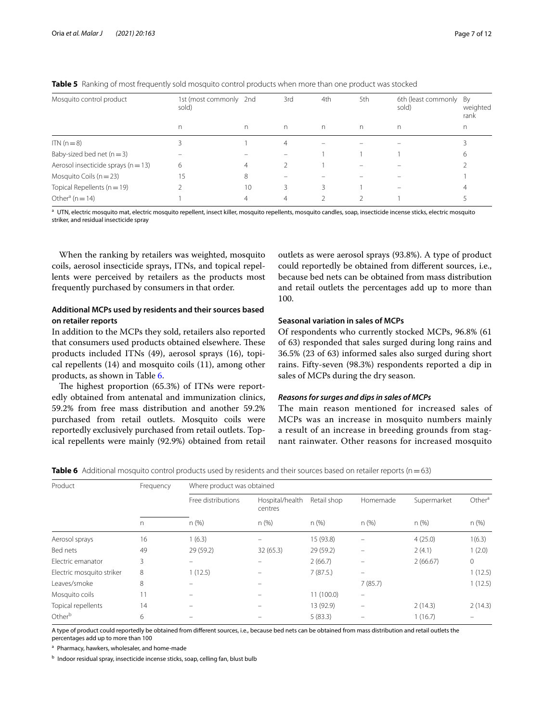| Mosquito control product                | 1st (most commonly 2nd<br>sold) |    | 3rd | 4th | 5th | 6th (least commonly<br>sold) | By<br>weighted<br>rank |
|-----------------------------------------|---------------------------------|----|-----|-----|-----|------------------------------|------------------------|
|                                         | n                               | n  | n.  | n.  | n   | n.                           | n                      |
| $ITN(n=8)$                              |                                 |    | 4   |     |     |                              |                        |
| Baby-sized bed net $(n=3)$              |                                 |    |     |     |     |                              | h                      |
| Aerosol insecticide sprays ( $n = 13$ ) | 6                               | 4  |     |     |     |                              |                        |
| Mosquito Coils ( $n = 23$ )             | 15                              | 8  |     |     |     |                              |                        |
| Topical Repellents ( $n = 19$ )         |                                 | 10 | 3   | 3   |     |                              |                        |
| Other <sup>a</sup> ( $n = 14$ )         |                                 | 4  | 4   |     |     |                              |                        |

<span id="page-6-0"></span>**Table 5** Ranking of most frequently sold mosquito control products when more than one product was stocked

<sup>a</sup> UTN, electric mosquito mat, electric mosquito repellent, insect killer, mosquito repellents, mosquito candles, soap, insecticide incense sticks, electric mosquito striker, and residual insecticide spray

When the ranking by retailers was weighted, mosquito coils, aerosol insecticide sprays, ITNs, and topical repellents were perceived by retailers as the products most frequently purchased by consumers in that order.

## **Additional MCPs used by residents and their sources based on retailer reports**

In addition to the MCPs they sold, retailers also reported that consumers used products obtained elsewhere. These products included ITNs (49), aerosol sprays (16), topical repellents (14) and mosquito coils (11), among other products, as shown in Table [6.](#page-6-1)

The highest proportion  $(65.3%)$  of ITNs were reportedly obtained from antenatal and immunization clinics, 59.2% from free mass distribution and another 59.2% purchased from retail outlets. Mosquito coils were reportedly exclusively purchased from retail outlets. Topical repellents were mainly (92.9%) obtained from retail outlets as were aerosol sprays (93.8%). A type of product could reportedly be obtained from diferent sources, i.e., because bed nets can be obtained from mass distribution and retail outlets the percentages add up to more than 100.

## **Seasonal variation in sales of MCPs**

Of respondents who currently stocked MCPs, 96.8% (61 of 63) responded that sales surged during long rains and 36.5% (23 of 63) informed sales also surged during short rains. Fifty-seven (98.3%) respondents reported a dip in sales of MCPs during the dry season.

## *Reasons for surges and dips in sales of MCPs*

The main reason mentioned for increased sales of MCPs was an increase in mosquito numbers mainly a result of an increase in breeding grounds from stagnant rainwater. Other reasons for increased mosquito

<span id="page-6-1"></span>**Table 6** Additional mosquito control products used by residents and their sources based on retailer reports (n=63)

| Product                   | Frequency | Where product was obtained |                            |             |                          |             |                    |  |  |  |
|---------------------------|-----------|----------------------------|----------------------------|-------------|--------------------------|-------------|--------------------|--|--|--|
|                           |           | Free distributions         | Hospital/health<br>centres | Retail shop | Homemade                 | Supermarket | Other <sup>a</sup> |  |  |  |
|                           | n         | n(%)                       | n(%)                       | n(%)        | n(%)                     | n (%)       | n(%)               |  |  |  |
| Aerosol sprays            | 16        | 1(6.3)                     |                            | 15 (93.8)   |                          | 4(25.0)     | 1(6.3)             |  |  |  |
| Bed nets                  | 49        | 29(59.2)                   | 32 (65.3)                  | 29 (59.2)   |                          | 2(4.1)      | 1(2.0)             |  |  |  |
| Electric emanator         | 3         | $\equiv$                   |                            | 2(66.7)     |                          | 2(66.67)    | $\circ$            |  |  |  |
| Electric mosquito striker | 8         | 1(12.5)                    |                            | 7(87.5)     |                          |             | 1(12.5)            |  |  |  |
| Leaves/smoke              | 8         |                            |                            |             | 7(85.7)                  |             | 1(12.5)            |  |  |  |
| Mosquito coils            | 11        |                            |                            | 11(100.0)   | $\qquad \qquad =$        |             |                    |  |  |  |
| Topical repellents        | 14        | -                          |                            | 13 (92.9)   | $\overline{\phantom{m}}$ | 2(14.3)     | 2(14.3)            |  |  |  |
| Other <sup>b</sup>        | 6         |                            |                            | 5(83.3)     |                          | 1(16.7)     |                    |  |  |  |

A type of product could reportedly be obtained from diferent sources, i.e., because bed nets can be obtained from mass distribution and retail outlets the percentages add up to more than 100

a Pharmacy, hawkers, wholesaler, and home-made

<sup>b</sup> Indoor residual spray, insecticide incense sticks, soap, celling fan, blust bulb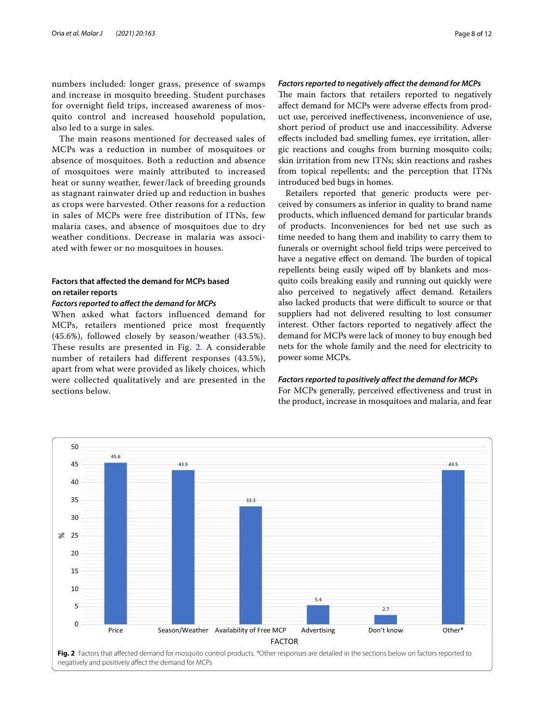numbers included: longer grass, presence of swamps and increase in mosquito breeding. Student purchases for overnight field trips, increased awareness of mosquito control and increased household population, also led to a surge in sales.

The main reasons mentioned for decreased sales of MCPs was a reduction in number of mosquitoes or absence of mosquitoes. Both a reduction and absence of mosquitoes were mainly attributed to increased heat or sunny weather, fewer/lack of breeding grounds as stagnant rainwater dried up and reduction in bushes as crops were harvested. Other reasons for a reduction in sales of MCPs were free distribution of ITNs, few malaria cases, and absence of mosquitoes due to dry weather conditions. Decrease in malaria was associated with fewer or no mosquitoes in houses.

## **Factors that afected the demand for MCPs based on retailer reports**

## *Factors reported to afect the demand for MCPs*

When asked what factors influenced demand for MCPs, retailers mentioned price most frequently (45.6%), followed closely by season/weather (43.5%). These results are presented in Fig. [2](#page-7-0). A considerable number of retailers had different responses (43.5%), apart from what were provided as likely choices, which were collected qualitatively and are presented in the sections below.

#### *Factors reported to negatively afect the demand for MCPs*

The main factors that retailers reported to negatively afect demand for MCPs were adverse efects from product use, perceived inefectiveness, inconvenience of use, short period of product use and inaccessibility. Adverse efects included bad smelling fumes, eye irritation, allergic reactions and coughs from burning mosquito coils; skin irritation from new ITNs; skin reactions and rashes from topical repellents; and the perception that ITNs introduced bed bugs in homes.

Retailers reported that generic products were perceived by consumers as inferior in quality to brand name products, which infuenced demand for particular brands of products. Inconveniences for bed net use such as time needed to hang them and inability to carry them to funerals or overnight school feld trips were perceived to have a negative effect on demand. The burden of topical repellents being easily wiped off by blankets and mosquito coils breaking easily and running out quickly were also perceived to negatively afect demand. Retailers also lacked products that were difficult to source or that suppliers had not delivered resulting to lost consumer interest. Other factors reported to negatively afect the demand for MCPs were lack of money to buy enough bed nets for the whole family and the need for electricity to power some MCPs.

#### *Factors reported to positively afect the demand for MCPs*

For MCPs generally, perceived effectiveness and trust in the product, increase in mosquitoes and malaria, and fear

<span id="page-7-0"></span>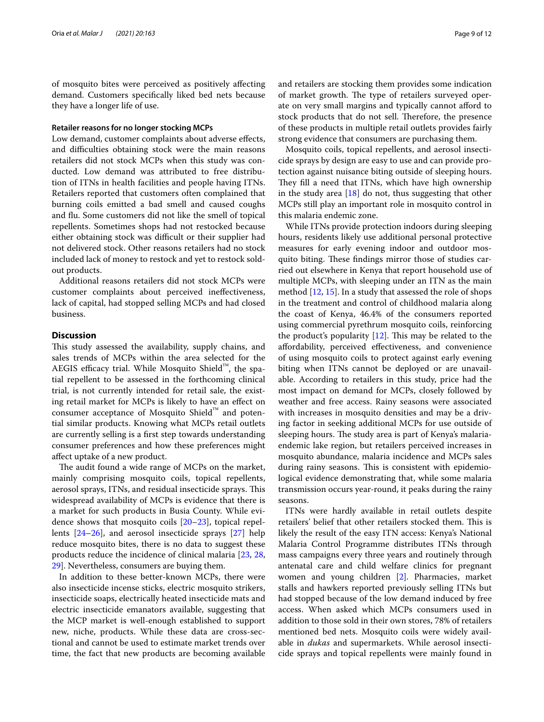of mosquito bites were perceived as positively afecting demand. Customers specifcally liked bed nets because they have a longer life of use.

## **Retailer reasons for no longer stocking MCPs**

Low demand, customer complaints about adverse effects, and difficulties obtaining stock were the main reasons retailers did not stock MCPs when this study was conducted. Low demand was attributed to free distribution of ITNs in health facilities and people having ITNs. Retailers reported that customers often complained that burning coils emitted a bad smell and caused coughs and fu. Some customers did not like the smell of topical repellents. Sometimes shops had not restocked because either obtaining stock was difficult or their supplier had not delivered stock. Other reasons retailers had no stock included lack of money to restock and yet to restock soldout products.

Additional reasons retailers did not stock MCPs were customer complaints about perceived inefectiveness, lack of capital, had stopped selling MCPs and had closed business.

#### **Discussion**

This study assessed the availability, supply chains, and sales trends of MCPs within the area selected for the AEGIS efficacy trial. While Mosquito Shield™, the spatial repellent to be assessed in the forthcoming clinical trial, is not currently intended for retail sale, the existing retail market for MCPs is likely to have an efect on consumer acceptance of Mosquito Shield™ and potential similar products. Knowing what MCPs retail outlets are currently selling is a frst step towards understanding consumer preferences and how these preferences might afect uptake of a new product.

The audit found a wide range of MCPs on the market, mainly comprising mosquito coils, topical repellents, aerosol sprays, ITNs, and residual insecticide sprays. This widespread availability of MCPs is evidence that there is a market for such products in Busia County. While evidence shows that mosquito coils [\[20](#page-10-17)[–23](#page-10-18)], topical repellents [\[24–](#page-10-19)[26\]](#page-11-0), and aerosol insecticide sprays [\[27](#page-11-1)] help reduce mosquito bites, there is no data to suggest these products reduce the incidence of clinical malaria [[23](#page-10-18), [28](#page-11-2), [29\]](#page-11-3). Nevertheless, consumers are buying them.

In addition to these better-known MCPs, there were also insecticide incense sticks, electric mosquito strikers, insecticide soaps, electrically heated insecticide mats and electric insecticide emanators available, suggesting that the MCP market is well-enough established to support new, niche, products. While these data are cross-sectional and cannot be used to estimate market trends over time, the fact that new products are becoming available and retailers are stocking them provides some indication of market growth. The type of retailers surveyed operate on very small margins and typically cannot aford to stock products that do not sell. Therefore, the presence of these products in multiple retail outlets provides fairly strong evidence that consumers are purchasing them.

Mosquito coils, topical repellents, and aerosol insecticide sprays by design are easy to use and can provide protection against nuisance biting outside of sleeping hours. They fill a need that ITNs, which have high ownership in the study area [\[18\]](#page-10-15) do not, thus suggesting that other MCPs still play an important role in mosquito control in this malaria endemic zone.

While ITNs provide protection indoors during sleeping hours, residents likely use additional personal protective measures for early evening indoor and outdoor mosquito biting. These findings mirror those of studies carried out elsewhere in Kenya that report household use of multiple MCPs, with sleeping under an ITN as the main method [\[12,](#page-10-11) [15](#page-10-12)]. In a study that assessed the role of shops in the treatment and control of childhood malaria along the coast of Kenya, 46.4% of the consumers reported using commercial pyrethrum mosquito coils, reinforcing the product's popularity  $[12]$  $[12]$ . This may be related to the afordability, perceived efectiveness, and convenience of using mosquito coils to protect against early evening biting when ITNs cannot be deployed or are unavailable. According to retailers in this study, price had the most impact on demand for MCPs, closely followed by weather and free access. Rainy seasons were associated with increases in mosquito densities and may be a driving factor in seeking additional MCPs for use outside of sleeping hours. The study area is part of Kenya's malariaendemic lake region, but retailers perceived increases in mosquito abundance, malaria incidence and MCPs sales during rainy seasons. This is consistent with epidemiological evidence demonstrating that, while some malaria transmission occurs year-round, it peaks during the rainy seasons.

ITNs were hardly available in retail outlets despite retailers' belief that other retailers stocked them. This is likely the result of the easy ITN access: Kenya's National Malaria Control Programme distributes ITNs through mass campaigns every three years and routinely through antenatal care and child welfare clinics for pregnant women and young children [\[2](#page-10-1)]. Pharmacies, market stalls and hawkers reported previously selling ITNs but had stopped because of the low demand induced by free access. When asked which MCPs consumers used in addition to those sold in their own stores, 78% of retailers mentioned bed nets. Mosquito coils were widely available in *dukas* and supermarkets. While aerosol insecticide sprays and topical repellents were mainly found in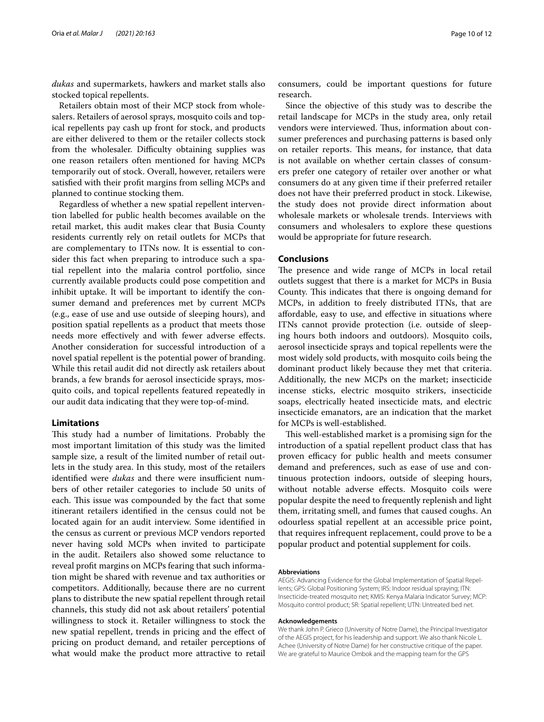*dukas* and supermarkets, hawkers and market stalls also stocked topical repellents.

Retailers obtain most of their MCP stock from wholesalers. Retailers of aerosol sprays, mosquito coils and topical repellents pay cash up front for stock, and products are either delivered to them or the retailer collects stock from the wholesaler. Difficulty obtaining supplies was one reason retailers often mentioned for having MCPs temporarily out of stock. Overall, however, retailers were satisfed with their proft margins from selling MCPs and planned to continue stocking them.

Regardless of whether a new spatial repellent intervention labelled for public health becomes available on the retail market, this audit makes clear that Busia County residents currently rely on retail outlets for MCPs that are complementary to ITNs now. It is essential to consider this fact when preparing to introduce such a spatial repellent into the malaria control portfolio, since currently available products could pose competition and inhibit uptake. It will be important to identify the consumer demand and preferences met by current MCPs (e.g., ease of use and use outside of sleeping hours), and position spatial repellents as a product that meets those needs more efectively and with fewer adverse efects. Another consideration for successful introduction of a novel spatial repellent is the potential power of branding. While this retail audit did not directly ask retailers about brands, a few brands for aerosol insecticide sprays, mosquito coils, and topical repellents featured repeatedly in our audit data indicating that they were top-of-mind.

## **Limitations**

This study had a number of limitations. Probably the most important limitation of this study was the limited sample size, a result of the limited number of retail outlets in the study area. In this study, most of the retailers identified were *dukas* and there were insufficient numbers of other retailer categories to include 50 units of each. This issue was compounded by the fact that some itinerant retailers identifed in the census could not be located again for an audit interview. Some identifed in the census as current or previous MCP vendors reported never having sold MCPs when invited to participate in the audit. Retailers also showed some reluctance to reveal proft margins on MCPs fearing that such information might be shared with revenue and tax authorities or competitors. Additionally, because there are no current plans to distribute the new spatial repellent through retail channels, this study did not ask about retailers' potential willingness to stock it. Retailer willingness to stock the new spatial repellent, trends in pricing and the efect of pricing on product demand, and retailer perceptions of what would make the product more attractive to retail

consumers, could be important questions for future research.

Since the objective of this study was to describe the retail landscape for MCPs in the study area, only retail vendors were interviewed. Thus, information about consumer preferences and purchasing patterns is based only on retailer reports. This means, for instance, that data is not available on whether certain classes of consumers prefer one category of retailer over another or what consumers do at any given time if their preferred retailer does not have their preferred product in stock. Likewise, the study does not provide direct information about wholesale markets or wholesale trends. Interviews with consumers and wholesalers to explore these questions would be appropriate for future research.

## **Conclusions**

The presence and wide range of MCPs in local retail outlets suggest that there is a market for MCPs in Busia County. This indicates that there is ongoing demand for MCPs, in addition to freely distributed ITNs, that are afordable, easy to use, and efective in situations where ITNs cannot provide protection (i.e. outside of sleeping hours both indoors and outdoors). Mosquito coils, aerosol insecticide sprays and topical repellents were the most widely sold products, with mosquito coils being the dominant product likely because they met that criteria. Additionally, the new MCPs on the market; insecticide incense sticks, electric mosquito strikers, insecticide soaps, electrically heated insecticide mats, and electric insecticide emanators, are an indication that the market for MCPs is well-established.

This well-established market is a promising sign for the introduction of a spatial repellent product class that has proven efficacy for public health and meets consumer demand and preferences, such as ease of use and continuous protection indoors, outside of sleeping hours, without notable adverse effects. Mosquito coils were popular despite the need to frequently replenish and light them, irritating smell, and fumes that caused coughs. An odourless spatial repellent at an accessible price point, that requires infrequent replacement, could prove to be a popular product and potential supplement for coils.

#### **Abbreviations**

AEGIS: Advancing Evidence for the Global Implementation of Spatial Repellents; GPS: Global Positioning System; IRS: Indoor residual spraying; ITN: Insecticide-treated mosquito net; KMIS: Kenya Malaria Indicator Survey; MCP: Mosquito control product; SR: Spatial repellent; UTN: Untreated bed net.

#### **Acknowledgements**

We thank John P. Grieco (University of Notre Dame), the Principal Investigator of the AEGIS project, for his leadership and support. We also thank Nicole L. Achee (University of Notre Dame) for her constructive critique of the paper. We are grateful to Maurice Ombok and the mapping team for the GPS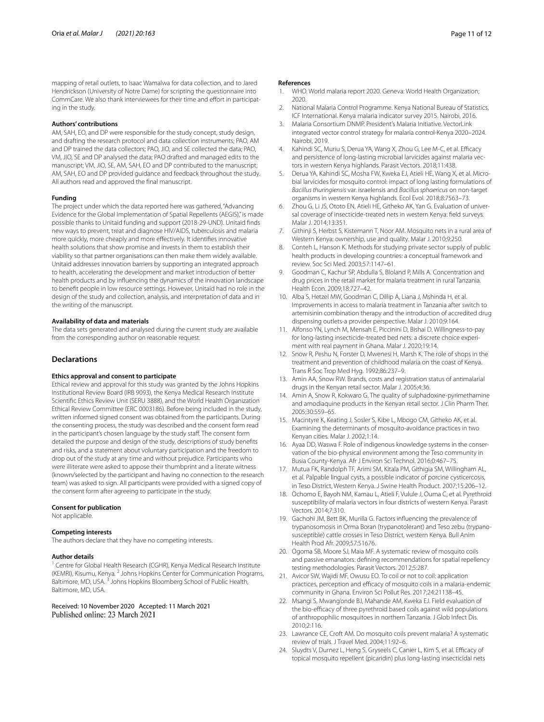mapping of retail outlets, to Isaac Wamalwa for data collection, and to Jared Hendrickson (University of Notre Dame) for scripting the questionnaire into CommCare. We also thank interviewees for their time and effort in participating in the study.

#### **Authors' contributions**

AM, SAH, EO, and DP were responsible for the study concept, study design, and drafting the research protocol and data collection instruments; PAO, AM and DP trained the data collectors; PAO, JIO, and SE collected the data; PAO, VM, JIO, SE and DP analysed the data; PAO drafted and managed edits to the manuscript; VM, JIO, SE, AM, SAH, EO and DP contributed to the manuscript; AM, SAH, EO and DP provided guidance and feedback throughout the study. All authors read and approved the fnal manuscript.

#### **Funding**

The project under which the data reported here was gathered, "Advancing Evidence for the Global Implementation of Spatial Repellents (AEGIS)," is made possible thanks to Unitaid funding and support (2018-29-UND). Unitaid fnds new ways to prevent, treat and diagnose HIV/AIDS, tuberculosis and malaria more quickly, more cheaply and more efectively. It identifes innovative health solutions that show promise and invests in them to establish their viability so that partner organisations can then make them widely available. Unitaid addresses innovation barriers by supporting an integrated approach to health, accelerating the development and market introduction of better health products and by infuencing the dynamics of the innovation landscape to beneft people in low resource settings. However, Unitaid had no role in the design of the study and collection, analysis, and interpretation of data and in the writing of the manuscript.

#### **Availability of data and materials**

The data sets generated and analysed during the current study are available from the corresponding author on reasonable request.

#### **Declarations**

#### **Ethics approval and consent to participate**

Ethical review and approval for this study was granted by the Johns Hopkins Institutional Review Board (IRB 9093), the Kenya Medical Research Institute Scientifc Ethics Review Unit (SERU 3888), and the World Health Organization Ethical Review Committee (ERC 0003186). Before being included in the study, written informed signed consent was obtained from the participants. During the consenting process, the study was described and the consent form read in the participant's chosen language by the study staff. The consent form detailed the purpose and design of the study, descriptions of study benefts and risks, and a statement about voluntary participation and the freedom to drop out of the study at any time and without prejudice. Participants who were illiterate were asked to appose their thumbprint and a literate witness (known/selected by the participant and having no connection to the research team) was asked to sign. All participants were provided with a signed copy of the consent form after agreeing to participate in the study.

#### **Consent for publication**

Not applicable.

#### **Competing interests**

The authors declare that they have no competing interests.

#### **Author details**

<sup>1</sup> Centre for Global Health Research (CGHR), Kenya Medical Research Institute (KEMRI), Kisumu, Kenya. <sup>2</sup> Johns Hopkins Center for Communication Programs, Baltimore, MD, USA.<sup>3</sup> Johns Hopkins Bloomberg School of Public Health, Baltimore, MD, USA.

Received: 10 November 2020 Accepted: 11 March 2021

#### **References**

- <span id="page-10-0"></span>1. WHO. World malaria report 2020. Geneva: World Health Organization; 2020.
- <span id="page-10-1"></span>2. National Malaria Control Programme. Kenya National Bureau of Statistics, ICF International. Kenya malaria indicator survey 2015. Nairobi, 2016.
- <span id="page-10-2"></span>3. Malaria Consortium DNMP. President's Malaria Initiative. VectorLink integrated vector control strategy for malaria control-Kenya 2020–2024. Nairobi, 2019.
- <span id="page-10-3"></span>Kahindi SC, Muriu S, Derua YA, Wang X, Zhou G, Lee M-C, et al. Efficacy and persistence of long-lasting microbial larvicides against malaria vectors in western Kenya highlands. Parasit Vectors. 2018;11:438.
- <span id="page-10-4"></span>5. Derua YA, Kahindi SC, Mosha FW, Kweka EJ, Atieli HE, Wang X, et al. Microbial larvicides for mosquito control: impact of long lasting formulations of *Bacillus thuringiensis* var. israelensis and *Bacillus sphaericus* on non-target organisms in western Kenya highlands. Ecol Evol. 2018;8:7563–73.
- <span id="page-10-5"></span>6. Zhou G, Li JS, Ototo EN, Atieli HE, Githeko AK, Yan G. Evaluation of universal coverage of insecticide-treated nets in western Kenya: feld surveys. Malar J. 2014;13:351.
- <span id="page-10-6"></span>7. Githinji S, Herbst S, Kistemann T, Noor AM. Mosquito nets in a rural area of Western Kenya: ownership, use and quality. Malar J. 2010;9:250.
- <span id="page-10-7"></span>Conteh L, Hanson K. Methods for studying private sector supply of public health products in developing countries: a conceptual framework and review. Soc Sci Med. 2003;57:1147–61.
- <span id="page-10-9"></span>9. Goodman C, Kachur SP, Abdulla S, Bloland P, Mills A. Concentration and drug prices in the retail market for malaria treatment in rural Tanzania. Health Econ. 2009;18:727–42.
- <span id="page-10-8"></span>10. Alba S, Hetzel MW, Goodman C, Dillip A, Liana J, Mshinda H, et al. Improvements in access to malaria treatment in Tanzania after switch to artemisinin combination therapy and the introduction of accredited drug dispensing outlets-a provider perspective. Malar J. 2010;9:164.
- 11. Alfonso YN, Lynch M, Mensah E, Piccinini D, Bishai D. Willingness-to-pay for long-lasting insecticide-treated bed nets: a discrete choice experiment with real payment in Ghana. Malar J. 2020;19:14.
- <span id="page-10-11"></span>12. Snow R, Peshu N, Forster D, Mwenesi H, Marsh K. The role of shops in the treatment and prevention of childhood malaria on the coast of Kenya. Trans R Soc Trop Med Hyg. 1992;86:237–9.
- 13. Amin AA, Snow RW. Brands, costs and registration status of antimalarial drugs in the Kenyan retail sector. Malar J. 2005;4:36.
- <span id="page-10-10"></span>14. Amin A, Snow R, Kokwaro G. The quality of sulphadoxine-pyrimethamine and amodiaquine products in the Kenyan retail sector. J Clin Pharm Ther. 2005;30:559–65.
- <span id="page-10-12"></span>15. Macintyre K, Keating J, Sosler S, Kibe L, Mbogo CM, Githeko AK, et al. Examining the determinants of mosquito-avoidance practices in two Kenyan cities. Malar J. 2002;1:14.
- <span id="page-10-13"></span>16. Ayaa DD, Waswa F. Role of indigenous knowledge systems in the conservation of the bio-physical environment among the Teso community in Busia County-Kenya. Afr J Environ Sci Technol. 2016;0:467–75.
- <span id="page-10-14"></span>17. Mutua FK, Randolph TF, Arimi SM, Kitala PM, Githigia SM, Willingham AL, et al. Palpable lingual cysts, a possible indicator of porcine cysticercosis, in Teso District, Western Kenya. J Swine Health Product. 2007;15:206–12.
- <span id="page-10-15"></span>18. Ochomo E, Bayoh NM, Kamau L, Atieli F, Vulule J, Ouma C, et al. Pyrethroid susceptibility of malaria vectors in four districts of western Kenya. Parasit Vectors. 2014;7:310.
- <span id="page-10-16"></span>19. Gachohi JM, Bett BK, Murilla G. Factors infuencing the prevalence of trypanosomosis in Orma Boran (trypanotolerant) and Teso zebu (trypanosusceptible) cattle crosses in Teso District, western Kenya. Bull Anim Health Prod Afr. 2009;57:51676.
- <span id="page-10-17"></span>20. Ogoma SB, Moore SJ, Maia MF. A systematic review of mosquito coils and passive emanators: defning recommendations for spatial repellency testing methodologies. Parasit Vectors. 2012;5:287.
- 21. Avicor SW, Wajidi MF, Owusu EO. To coil or not to coil: application practices, perception and efficacy of mosquito coils in a malaria-endemic community in Ghana. Environ Sci Pollut Res. 2017;24:21138–45.
- 22. Msangi S, Mwang'onde BJ, Mahande AM, Kweka EJ. Field evaluation of the bio-efficacy of three pyrethroid based coils against wild populations of anthropophilic mosquitoes in northern Tanzania. J Glob Infect Dis. 2010;2:116.
- <span id="page-10-18"></span>23. Lawrance CE, Croft AM. Do mosquito coils prevent malaria? A systematic review of trials. J Travel Med. 2004;11:92–6.
- <span id="page-10-19"></span>24. Sluydts V, Durnez L, Heng S, Gryseels C, Canier L, Kim S, et al. Efficacy of topical mosquito repellent (picaridin) plus long-lasting insecticidal nets